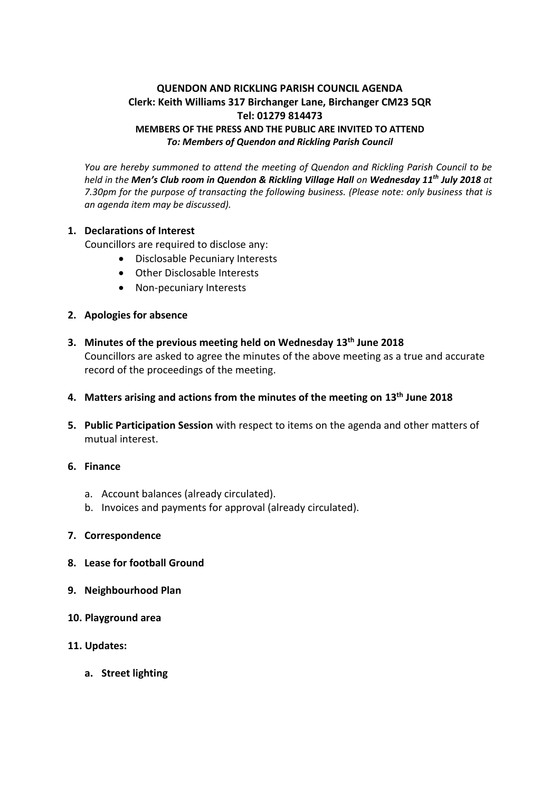# **QUENDON AND RICKLING PARISH COUNCIL AGENDA Clerk: Keith Williams 317 Birchanger Lane, Birchanger CM23 5QR Tel: 01279 814473 MEMBERS OF THE PRESS AND THE PUBLIC ARE INVITED TO ATTEND** *To: Members of Quendon and Rickling Parish Council*

*You are hereby summoned to attend the meeting of Quendon and Rickling Parish Council to be held in the Men's Club room in Quendon & Rickling Village Hall on Wednesday 11 th July 2018 at 7.30pm for the purpose of transacting the following business. (Please note: only business that is an agenda item may be discussed).*

## **1. Declarations of Interest**

Councillors are required to disclose any:

- Disclosable Pecuniary Interests
- Other Disclosable Interests
- Non-pecuniary Interests

## **2. Apologies for absence**

- **3. Minutes of the previous meeting held on Wednesday 13th June 2018** Councillors are asked to agree the minutes of the above meeting as a true and accurate record of the proceedings of the meeting.
- **4. Matters arising and actions from the minutes of the meeting on 13th June 2018**
- **5. Public Participation Session** with respect to items on the agenda and other matters of mutual interest.
- **6. Finance**
	- a. Account balances (already circulated).
	- b. Invoices and payments for approval (already circulated).

### **7. Correspondence**

- **8. Lease for football Ground**
- **9. Neighbourhood Plan**
- **10. Playground area**
- **11. Updates:**
	- **a. Street lighting**